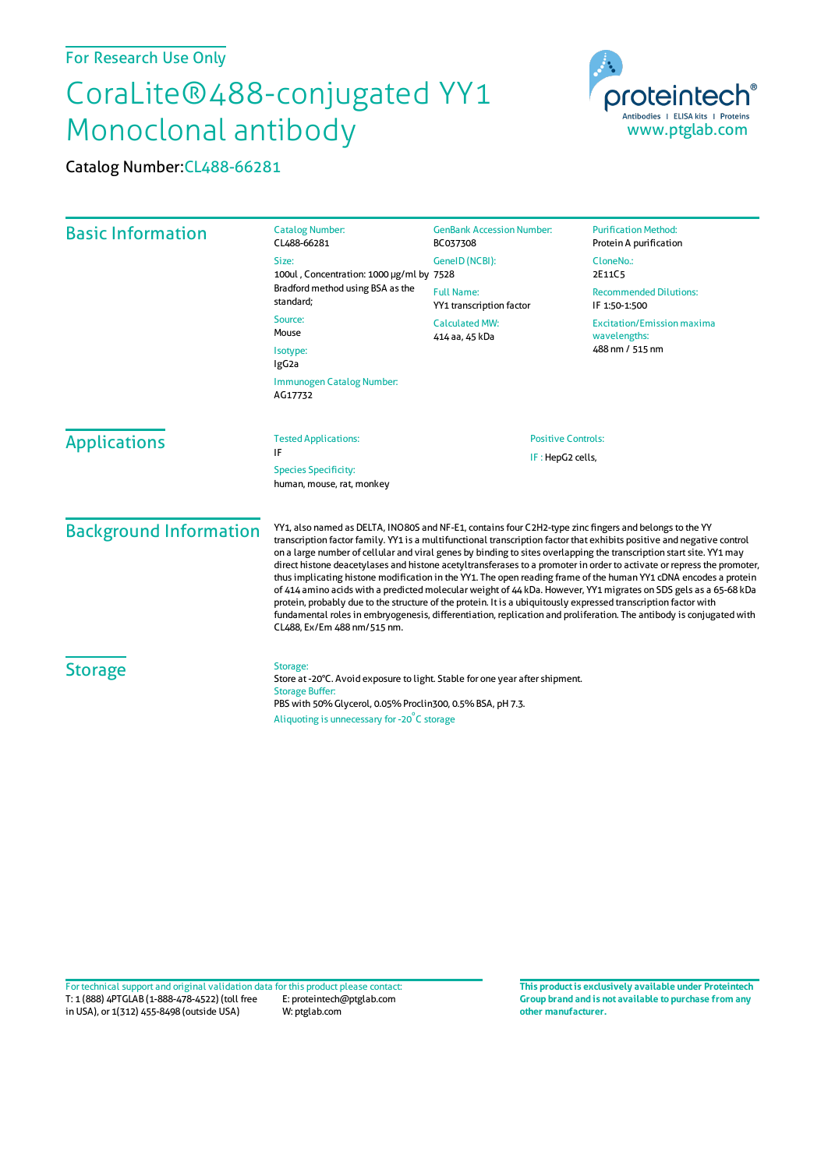## For Research Use Only

## CoraLite®488-conjugated YY1 Monoclonal antibody

Catalog Number:CL488-66281



| <b>Basic Information</b>      | <b>Catalog Number:</b><br>CL488-66281                                                                                                                                                                                                                                                                                                                                                                                                                                                                                                                                                                                                                                                                                                                                                                                                                                                                                                                                                              | <b>GenBank Accession Number:</b><br>BC037308  | <b>Purification Method:</b><br>Protein A purification                |                     |                                                          |                           |  |
|-------------------------------|----------------------------------------------------------------------------------------------------------------------------------------------------------------------------------------------------------------------------------------------------------------------------------------------------------------------------------------------------------------------------------------------------------------------------------------------------------------------------------------------------------------------------------------------------------------------------------------------------------------------------------------------------------------------------------------------------------------------------------------------------------------------------------------------------------------------------------------------------------------------------------------------------------------------------------------------------------------------------------------------------|-----------------------------------------------|----------------------------------------------------------------------|---------------------|----------------------------------------------------------|---------------------------|--|
|                               | Size:<br>100ul, Concentration: 1000 µg/ml by 7528<br>Bradford method using BSA as the<br>standard;<br>Source:<br>Mouse<br>Isotype:<br>IgG <sub>2a</sub><br>Immunogen Catalog Number:<br>AG17732                                                                                                                                                                                                                                                                                                                                                                                                                                                                                                                                                                                                                                                                                                                                                                                                    | GeneID (NCBI):                                | CloneNo.:<br>2E11C5                                                  |                     |                                                          |                           |  |
|                               |                                                                                                                                                                                                                                                                                                                                                                                                                                                                                                                                                                                                                                                                                                                                                                                                                                                                                                                                                                                                    | <b>Full Name:</b><br>YY1 transcription factor | <b>Recommended Dilutions:</b><br>IF 1:50-1:500                       |                     |                                                          |                           |  |
|                               |                                                                                                                                                                                                                                                                                                                                                                                                                                                                                                                                                                                                                                                                                                                                                                                                                                                                                                                                                                                                    | <b>Calculated MW:</b><br>414 aa, 45 kDa       | <b>Excitation/Emission maxima</b><br>wavelengths:<br>488 nm / 515 nm |                     |                                                          |                           |  |
|                               |                                                                                                                                                                                                                                                                                                                                                                                                                                                                                                                                                                                                                                                                                                                                                                                                                                                                                                                                                                                                    |                                               |                                                                      | <b>Applications</b> | <b>Tested Applications:</b><br>IF                        | <b>Positive Controls:</b> |  |
|                               |                                                                                                                                                                                                                                                                                                                                                                                                                                                                                                                                                                                                                                                                                                                                                                                                                                                                                                                                                                                                    |                                               |                                                                      |                     | <b>Species Specificity:</b><br>human, mouse, rat, monkey | IF: HepG2 cells,          |  |
| <b>Background Information</b> | YY1, also named as DELTA, INO80S and NF-E1, contains four C2H2-type zinc fingers and belongs to the YY<br>transcription factor family. YY1 is a multifunctional transcription factor that exhibits positive and negative control<br>on a large number of cellular and viral genes by binding to sites overlapping the transcription start site. YY1 may<br>direct histone deacetylases and histone acetyltransferases to a promoter in order to activate or repress the promoter,<br>thus implicating histone modification in the YY1. The open reading frame of the human YY1 cDNA encodes a protein<br>of 414 amino acids with a predicted molecular weight of 44 kDa. However, YY1 migrates on SDS gels as a 65-68 kDa<br>protein, probably due to the structure of the protein. It is a ubiquitously expressed transcription factor with<br>fundamental roles in embryogenesis, differentiation, replication and proliferation. The antibody is conjugated with<br>CL488, Ex/Em 488 nm/515 nm. |                                               |                                                                      |                     |                                                          |                           |  |
| <b>Storage</b>                | Storage:<br>Store at -20°C. Avoid exposure to light. Stable for one year after shipment.<br><b>Storage Buffer:</b><br>PBS with 50% Glycerol, 0.05% Proclin300, 0.5% BSA, pH 7.3.<br>Aliquoting is unnecessary for -20°C storage                                                                                                                                                                                                                                                                                                                                                                                                                                                                                                                                                                                                                                                                                                                                                                    |                                               |                                                                      |                     |                                                          |                           |  |

T: 1 (888) 4PTGLAB (1-888-478-4522) (toll free in USA), or 1(312) 455-8498 (outside USA) E: proteintech@ptglab.com W: ptglab.com Fortechnical support and original validation data forthis product please contact: **This productis exclusively available under Proteintech**

**Group brand and is not available to purchase from any other manufacturer.**